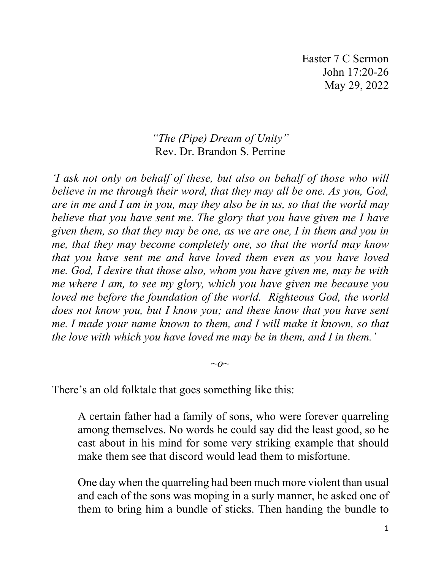## *"The (Pipe) Dream of Unity"*  Rev. Dr. Brandon S. Perrine

*'I ask not only on behalf of these, but also on behalf of those who will believe in me through their word, that they may all be one. As you, God, are in me and I am in you, may they also be in us, so that the world may believe that you have sent me. The glory that you have given me I have given them, so that they may be one, as we are one, I in them and you in me, that they may become completely one, so that the world may know that you have sent me and have loved them even as you have loved me. God, I desire that those also, whom you have given me, may be with me where I am, to see my glory, which you have given me because you loved me before the foundation of the world. Righteous God, the world does not know you, but I know you; and these know that you have sent me. I made your name known to them, and I will make it known, so that the love with which you have loved me may be in them, and I in them.'*

 $\sim$ *o* $\sim$ 

There's an old folktale that goes something like this:

A certain father had a family of sons, who were forever quarreling among themselves. No words he could say did the least good, so he cast about in his mind for some very striking example that should make them see that discord would lead them to misfortune.

One day when the quarreling had been much more violent than usual and each of the sons was moping in a surly manner, he asked one of them to bring him a bundle of sticks. Then handing the bundle to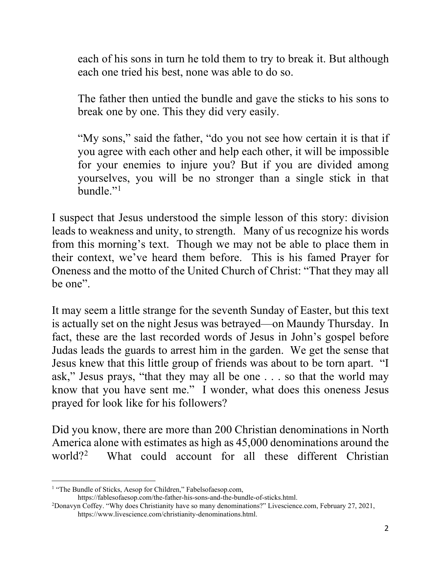each of his sons in turn he told them to try to break it. But although each one tried his best, none was able to do so.

The father then untied the bundle and gave the sticks to his sons to break one by one. This they did very easily.

"My sons," said the father, "do you not see how certain it is that if you agree with each other and help each other, it will be impossible for your enemies to injure you? But if you are divided among yourselves, you will be no stronger than a single stick in that bundle."[1](#page-1-0)

I suspect that Jesus understood the simple lesson of this story: division leads to weakness and unity, to strength. Many of us recognize his words from this morning's text. Though we may not be able to place them in their context, we've heard them before. This is his famed Prayer for Oneness and the motto of the United Church of Christ: "That they may all be one".

It may seem a little strange for the seventh Sunday of Easter, but this text is actually set on the night Jesus was betrayed—on Maundy Thursday. In fact, these are the last recorded words of Jesus in John's gospel before Judas leads the guards to arrest him in the garden. We get the sense that Jesus knew that this little group of friends was about to be torn apart. "I ask," Jesus prays, "that they may all be one . . . so that the world may know that you have sent me." I wonder, what does this oneness Jesus prayed for look like for his followers?

Did you know, there are more than 200 Christian denominations in North America alone with estimates as high as 45,000 denominations around the world?[2](#page-1-1) What could account for all these different Christian

<span id="page-1-0"></span><sup>&</sup>lt;sup>1</sup> "The Bundle of Sticks, Aesop for Children," Fabelsofaesop.com,

https://fablesofaesop.com/the-father-his-sons-and-the-bundle-of-sticks.html.

<span id="page-1-1"></span><sup>2</sup> Donavyn Coffey. "Why does Christianity have so many denominations?" Livescience.com, February 27, 2021, https://www.livescience.com/christianity-denominations.html.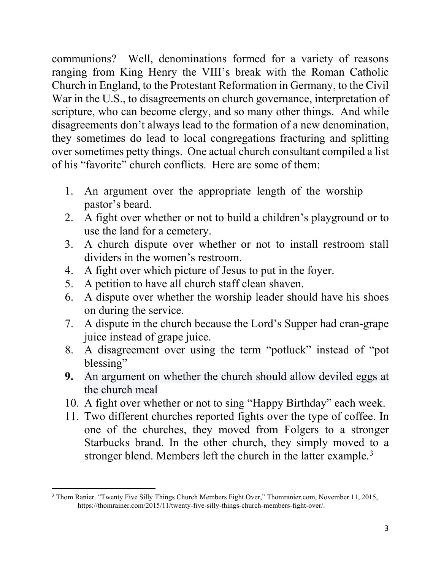communions? Well, denominations formed for a variety of reasons ranging from King Henry the VIII's break with the Roman Catholic Church in England, to the Protestant Reformation in Germany, to the Civil War in the U.S., to disagreements on church governance, interpretation of scripture, who can become clergy, and so many other things. And while disagreements don't always lead to the formation of a new denomination, they sometimes do lead to local congregations fracturing and splitting over sometimes petty things. One actual church consultant compiled a list of his "favorite" church conflicts. Here are some of them:

- 1. An argument over the appropriate length of the worship pastor's beard.
- 2. A fight over whether or not to build a children's playground or to use the land for a cemetery.
- 3. A church dispute over whether or not to install restroom stall dividers in the women's restroom.
- 4. A fight over which picture of Jesus to put in the foyer.
- 5. A petition to have all church staff clean shaven.
- 6. A dispute over whether the worship leader should have his shoes on during the service.
- 7. A dispute in the church because the Lord's Supper had cran-grape juice instead of grape juice.
- 8. A disagreement over using the term "potluck" instead of "pot blessing"
- **9.** An argument on whether the church should allow deviled eggs at the church meal
- 10. A fight over whether or not to sing "Happy Birthday" each week.
- 11. Two different churches reported fights over the type of coffee. In one of the churches, they moved from Folgers to a stronger Starbucks brand. In the other church, they simply moved to a stronger blend. Members left the church in the latter example.<sup>[3](#page-2-0)</sup>

<span id="page-2-0"></span><sup>3</sup> Thom Ranier. "Twenty Five Silly Things Church Members Fight Over," Thomranier.com, November 11, 2015, [https://thomrainer.com/2015/11/twenty-five-silly-things-church-members-fight-over/.](https://thomrainer.com/2015/11/twenty-five-silly-things-church-members-fight-over/)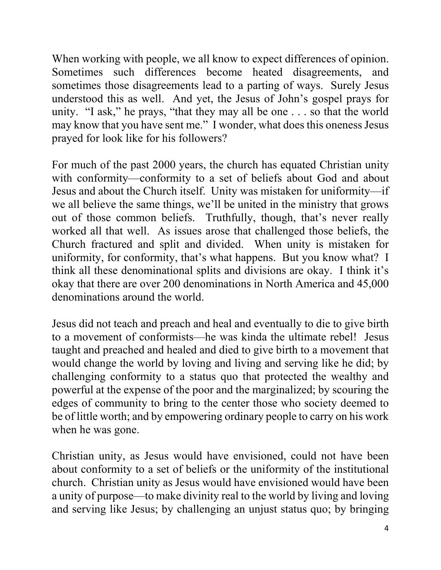When working with people, we all know to expect differences of opinion. Sometimes such differences become heated disagreements, and sometimes those disagreements lead to a parting of ways. Surely Jesus understood this as well. And yet, the Jesus of John's gospel prays for unity. "I ask," he prays, "that they may all be one . . . so that the world may know that you have sent me." I wonder, what does this oneness Jesus prayed for look like for his followers?

For much of the past 2000 years, the church has equated Christian unity with conformity—conformity to a set of beliefs about God and about Jesus and about the Church itself. Unity was mistaken for uniformity—if we all believe the same things, we'll be united in the ministry that grows out of those common beliefs. Truthfully, though, that's never really worked all that well. As issues arose that challenged those beliefs, the Church fractured and split and divided. When unity is mistaken for uniformity, for conformity, that's what happens. But you know what? I think all these denominational splits and divisions are okay. I think it's okay that there are over 200 denominations in North America and 45,000 denominations around the world.

Jesus did not teach and preach and heal and eventually to die to give birth to a movement of conformists—he was kinda the ultimate rebel! Jesus taught and preached and healed and died to give birth to a movement that would change the world by loving and living and serving like he did; by challenging conformity to a status quo that protected the wealthy and powerful at the expense of the poor and the marginalized; by scouring the edges of community to bring to the center those who society deemed to be of little worth; and by empowering ordinary people to carry on his work when he was gone.

Christian unity, as Jesus would have envisioned, could not have been about conformity to a set of beliefs or the uniformity of the institutional church. Christian unity as Jesus would have envisioned would have been a unity of purpose—to make divinity real to the world by living and loving and serving like Jesus; by challenging an unjust status quo; by bringing